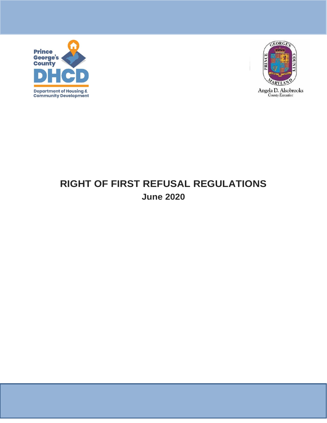



# **RIGHT OF FIRST REFUSAL REGULATIONS June 2020**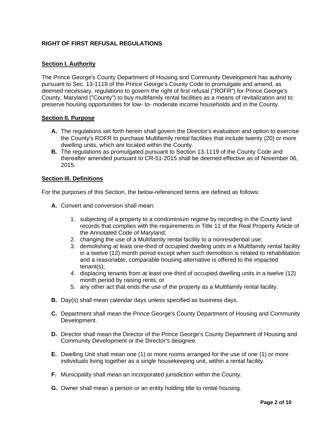# **RIGHT OF FIRST REFUSAL REGULATIONS**

# **Section I. Authority**

The Prince George's County Department of Housing and Community Development has authority pursuant to Sec. 13-1119 of the Prince George's County Code to promulgate and amend, as deemed necessary, regulations to govern the right of first refusal ("ROFR") for Prince George's County, Maryland ("County") to buy multifamily rental facilities as a means of revitalization and to preserve housing opportunities for low- to- moderate income households and in the County.

# **Section II. Purpose**

- **A.** The regulations set forth herein shall govern the Director's evaluation and option to exercise the County's ROFR to purchase Multifamily rental facilities that include twenty (20) or more dwelling units, which are located within the County.
- **B.** The regulations as promulgated pursuant to Section 13-1119 of the County Code and thereafter amended pursuant to CR-51-2015 shall be deemed effective as of November 06, 2015.

# **Section Ill. Definitions**

For the purposes of this Section, the below-referenced terms are defined as follows:

- **A.** Convert and conversion shall mean:
	- 1. subjecting of a property to a condominium regime by recording in the County land records that complies with the requirements in Title 11 of the Real Property Article of the Annotated Code of Maryland;
	- 2. changing the use of a Multifamily rental facility to a nonresidential use;
	- 3. demolishing at least one-third of occupied dwelling units in a Multifamily rental facility in a twelve (12) month period except when such demolition is related to rehabilitation and a reasonable, comparable housing alternative is offered to the impacted tenant(s);
	- 4. displacing tenants from at least one-third of occupied dwelling units in a twelve (12) month period by raising rents; or
	- 5. any other act that ends the use of the property as a Multifamily rental facility.
- **B.** Day(s) shall mean calendar days unless specified as business days.
- **C.** Department shall mean the Prince George's County Department of Housing and Community Development.
- **D.** Director shall mean the Director of the Prince George's County Department of Housing and Community Development or the Director's designee.
- **E.** Dwelling Unit shall mean one (1) or more rooms arranged for the use of one (1) or more individuals living together as a single housekeeping unit, within a rental facility.
- **F.** Municipality shall mean an incorporated jurisdiction within the County.
- **G.** Owner shall mean a person or an entity holding title to rental housing.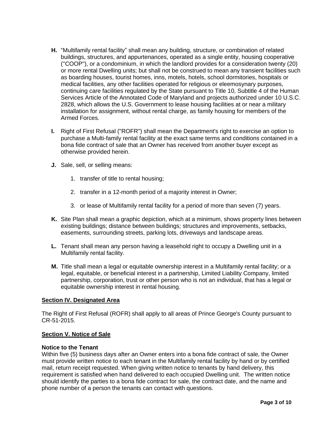- **H.** "Multifamily rental facility" shall mean any building, structure, or combination of related buildings, structures, and appurtenances, operated as a single entity, housing cooperative (''COOP"), or a condominium, in which the landlord provides for a consideration twenty (20) or more rental Dwelling units; but shall not be construed to mean any transient facilities such as boarding houses, tourist homes, inns, motels, hotels, school dormitories, hospitals or medical facilities, any other facilities operated for religious or eleemosynary purposes, continuing care facilities regulated by the State pursuant to Title 10, Subtitle 4 of the Human Services Article of the Annotated Code of Maryland and projects authorized under 10 U.S.C. 2828, which allows the U.S. Government to lease housing facilities at or near a military installation for assignment, without rental charge, as family housing for members of the Armed Forces.
- **I.** Right of First Refusal ("ROFR") shall mean the Department's right to exercise an option to purchase a Multi-family rental facility at the exact same terms and conditions contained in a bona fide contract of sale that an Owner has received from another buyer except as otherwise provided herein.
- **J.** Sale, sell, or selling means:
	- 1. transfer of title to rental housing;
	- 2. transfer in a 12-month period of a majority interest in Owner;
	- 3. or lease of Multifamily rental facility for a period of more than seven (7) years.
- **K.** Site Plan shall mean a graphic depiction, which at a minimum, shows property lines between existing buildings; distance between buildings; structures and improvements, setbacks, easements, surrounding streets, parking lots, driveways and landscape areas.
- **L.** Tenant shall mean any person having a leasehold right to occupy a Dwelling unit in a Multifamily rental facility.
- **M.** Title shall mean a legal or equitable ownership interest in a Multifamily rental facility; or a legal, equitable, or beneficial interest in a partnership, Limited Liability Company, limited partnership, corporation, trust or other person who is not an individual, that has a legal or equitable ownership interest in rental housing.

# **Section IV. Designated Area**

The Right of First Refusal (ROFR) shall apply to all areas of Prince George's County pursuant to CR-51-2015.

# **Section V. Notice of Sale**

#### **Notice to the Tenant**

Within five (5) business days after an Owner enters into a bona fide contract of sale, the Owner must provide written notice to each tenant in the Multifamily rental facility by hand or by certified mail, return receipt requested. When giving written notice to tenants by hand delivery, this requirement is satisfied when hand delivered to each occupied Dwelling unit. The written notice should identify the parties to a bona fide contract for sale, the contract date, and the name and phone number of a person the tenants can contact with questions.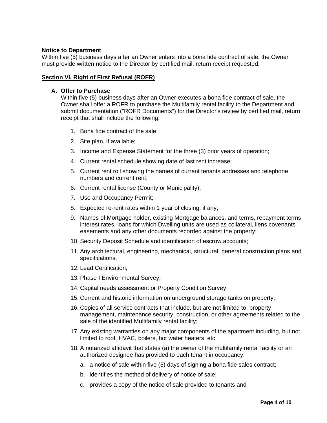# **Notice to Department**

Within five (5) business days after an Owner enters into a bona fide contract of sale, the Owner must provide written notice to the Director by certified mail, return receipt requested.

# **Section VI. Right of First Refusal (ROFR)**

#### **A. Offer to Purchase**

Within five (5) business days after an Owner executes a bona fide contract of sale, the Owner shall offer a ROFR to purchase the Multifamily rental facility to the Department and submit documentation ("ROFR Documents") for the Director's review by certified mail, return receipt that shall include the following:

- 1. Bona fide contract of the sale;
- 2. Site plan, if available;
- 3. Income and Expense Statement for the three (3) prior years of operation;
- 4. Current rental schedule showing date of last rent increase;
- 5. Current rent roll showing the names of current tenants addresses and telephone numbers and current rent;
- 6. Current rental license (County or Municipality);
- 7. Use and Occupancy Permit;
- 8. Expected re-rent rates within 1 year of closing, if any;
- 9. Names of Mortgage holder, existing Mortgage balances, and terms, repayment terms interest rates, loans for which Dwelling units are used as collateral, liens covenants easements and any other documents recorded against the property;
- 10. Security Deposit Schedule and identification of escrow accounts;
- 11. Any architectural, engineering, mechanical, structural, general construction plans and specifications;
- 12. Lead Certification;
- 13. Phase I Environmental Survey;
- 14. Capital needs assessment or Property Condition Survey
- 15. Current and historic information on underground storage tanks on property;
- 16. Copies of all service contracts that include, but are not limited to, property management, maintenance security, construction, or other agreements related to the sale of the identified Multifamily rental facility;
- 17. Any existing warranties on any major components of the apartment including, but not limited to roof, HVAC, boilers, hot water heaters, etc.
- 18. A notarized affidavit that states (a) the owner of the multifamily rental facility or an authorized designee has provided to each tenant in occupancy:
	- a. a notice of sale within five (5) days of signing a bona fide sales contract;
	- b. identifies the method of delivery of notice of sale;
	- c. provides a copy of the notice of sale provided to tenants and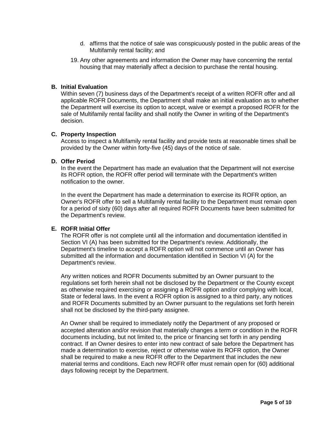- d. affirms that the notice of sale was conspicuously posted in the public areas of the Multifamily rental facility; and
- 19. Any other agreements and information the Owner may have concerning the rental housing that may materially affect a decision to purchase the rental housing.

# **B. Initial Evaluation**

Within seven (7) business days of the Department's receipt of a written ROFR offer and all applicable ROFR Documents, the Department shall make an initial evaluation as to whether the Department will exercise its option to accept, waive or exempt a proposed ROFR for the sale of Multifamily rental facility and shall notify the Owner in writing of the Department's decision.

#### **C. Property Inspection**

Access to inspect a Multifamily rental facility and provide tests at reasonable times shall be provided by the Owner within forty-five (45) days of the notice of sale.

#### **D. Offer Period**

In the event the Department has made an evaluation that the Department will not exercise its ROFR option, the ROFR offer period will terminate with the Department's written notification to the owner.

In the event the Department has made a determination to exercise its ROFR option, an Owner's ROFR offer to sell a Multifamily rental facility to the Department must remain open for a period of sixty (60) days after all required ROFR Documents have been submitted for the Department's review.

# **E. ROFR Initial Offer**

The ROFR offer is not complete until all the information and documentation identified in Section VI (A) has been submitted for the Department's review. Additionally, the Department's timeline to accept a ROFR option will not commence until an Owner has submitted all the information and documentation identified in Section VI (A) for the Department's review.

Any written notices and ROFR Documents submitted by an Owner pursuant to the regulations set forth herein shall not be disclosed by the Department or the County except as otherwise required exercising or assigning a ROFR option and/or complying with local, State or federal laws. In the event a ROFR option is assigned to a third party, any notices and ROFR Documents submitted by an Owner pursuant to the regulations set forth herein shall not be disclosed by the third-party assignee.

An Owner shall be required to immediately notify the Department of any proposed or accepted alteration and/or revision that materially changes a term or condition in the ROFR documents including, but not limited to, the price or financing set forth in any pending contract. If an Owner desires to enter into new contract of sale before the Department has made a determination to exercise, reject or otherwise waive its ROFR option, the Owner shall be required to make a new ROFR offer to the Department that includes the new material terms and conditions. Each new ROFR offer must remain open for (60) additional days following receipt by the Department.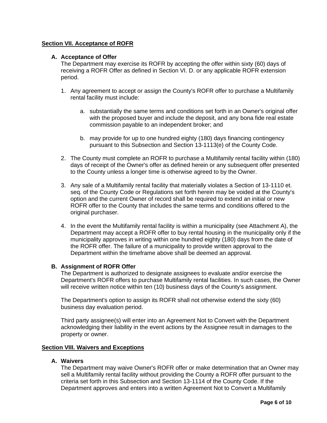# **Section VII. Acceptance of ROFR**

# **A. Acceptance of Offer**

The Department may exercise its ROFR by accepting the offer within sixty (60) days of receiving a ROFR Offer as defined in Section VI. D. or any applicable ROFR extension period.

- 1. Any agreement to accept or assign the County's ROFR offer to purchase a Multifamily rental facility must include:
	- a. substantially the same terms and conditions set forth in an Owner's original offer with the proposed buyer and include the deposit, and any bona fide real estate commission payable to an independent broker; and
	- b. may provide for up to one hundred eighty (180) days financing contingency pursuant to this Subsection and Section 13-1113(e) of the County Code.
- 2. The County must complete an ROFR to purchase a Multifamily rental facility within (180) days of receipt of the Owner's offer as defined herein or any subsequent offer presented to the County unless a longer time is otherwise agreed to by the Owner.
- 3. Any sale of a Multifamily rental facility that materially violates a Section of 13-1110 et. seq. of the County Code or Regulations set forth herein may be voided at the County's option and the current Owner of record shall be required to extend an initial or new ROFR offer to the County that includes the same terms and conditions offered to the original purchaser.
- 4. In the event the Multifamily rental facility is within a municipality (see Attachment A), the Department may accept a ROFR offer to buy rental housing in the municipality only if the municipality approves in writing within one hundred eighty (180) days from the date of the ROFR offer. The failure of a municipality to provide written approval to the Department within the timeframe above shall be deemed an approval.

# **B. Assignment of ROFR Offer**

The Department is authorized to designate assignees to evaluate and/or exercise the Department's ROFR offers to purchase Multifamily rental facilities. In such cases, the Owner will receive written notice within ten (10) business days of the County's assignment.

The Department's option to assign its ROFR shall not otherwise extend the sixty (60) business day evaluation period.

Third party assignee(s) will enter into an Agreement Not to Convert with the Department acknowledging their liability in the event actions by the Assignee result in damages to the property or owner.

# **Section VIII. Waivers and Exceptions**

# **A. Waivers**

The Department may waive Owner's ROFR offer or make determination that an Owner may sell a Multifamily rental facility without providing the County a ROFR offer pursuant to the criteria set forth in this Subsection and Section 13-1114 of the County Code. If the Department approves and enters into a written Agreement Not to Convert a Multifamily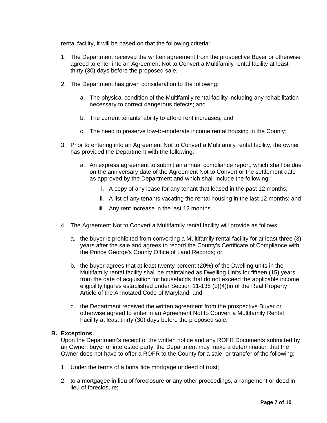rental facility, it will be based on that the following criteria:

- 1. The Department received the written agreement from the prospective Buyer or otherwise agreed to enter into an Agreement Not to Convert a Multifamily rental facility at least thirty (30) days before the proposed sale.
- 2. The Department has given consideration to the following:
	- a. The physical condition of the Multifamily rental facility including any rehabilitation necessary to correct dangerous defects; and
	- b. The current tenants' ability to afford rent increases; and
	- c. The need to preserve low-to-moderate income rental housing in the County;
- 3. Prior to entering into an Agreement Not to Convert a Multifamily rental facility, the owner has provided the Department with the following:
	- a. An express agreement to submit an annual compliance report, which shall be due on the anniversary date of the Agreement Not to Convert or the settlement date as approved by the Department and which shall include the following:
		- i. A copy of any lease for any tenant that leased in the past 12 months;
		- ii. A list of any tenants vacating the rental housing in the last 12 months; and
		- iii. Any rent increase in the last 12 months.
- 4. The Agreement Not to Convert a Multifamily rental facility will provide as follows:
	- a. the buyer is prohibited from converting a Multifamily rental facility for at least three (3) years after the sale and agrees to record the County's Certificate of Compliance with the Prince George's County Office of Land Records; or
	- b. the buyer agrees that at least twenty percent (20%) of the Dwelling units in the Multifamily rental facility shall be maintained as Dwelling Units for fifteen (15) years from the date of acquisition for households that do not exceed the applicable income eligibility figures established under Section 11-138 (b)(4)(ii) of the Real Property Article of the Annotated Code of Maryland; and
	- c. the Department received the written agreement from the prospective Buyer or otherwise agreed to enter in an Agreement Not to Convert a Multifamily Rental Facility at least thirty (30) days before the proposed sale.

# **B. Exceptions**

Upon the Department's receipt of the written notice and any ROFR Documents submitted by an Owner, buyer or interested party, the Department may make a determination that the Owner does not have to offer a ROFR to the County for a sale, or transfer of the following:

- 1. Under the terms of a bona fide mortgage or deed of trust;
- 2. to a mortgagee in lieu of foreclosure or any other proceedings, arrangement or deed in lieu of foreclosure;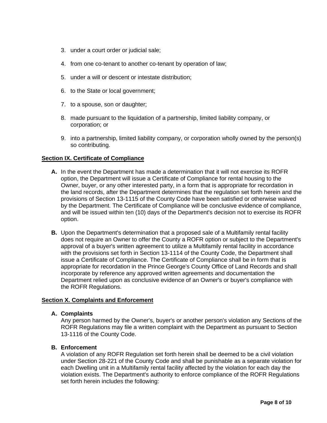- 3. under a court order or judicial sale;
- 4. from one co-tenant to another co-tenant by operation of law;
- 5. under a will or descent or intestate distribution;
- 6. to the State or local government;
- 7. to a spouse, son or daughter;
- 8. made pursuant to the liquidation of a partnership, limited liability company, or corporation; or
- 9. into a partnership, limited liability company, or corporation wholly owned by the person(s) so contributing.

# **Section IX. Certificate of Compliance**

- **A.** In the event the Department has made a determination that it will not exercise its ROFR option, the Department will issue a Certificate of Compliance for rental housing to the Owner, buyer, or any other interested party, in a form that is appropriate for recordation in the land records, after the Department determines that the regulation set forth herein and the provisions of Section 13-1115 of the County Code have been satisfied or otherwise waived by the Department. The Certificate of Compliance will be conclusive evidence of compliance, and will be issued within ten (10) days of the Department's decision not to exercise its ROFR option.
- **B.** Upon the Department's determination that a proposed sale of a Multifamily rental facility does not require an Owner to offer the County a ROFR option or subject to the Department's approval of a buyer's written agreement to utilize a Multifamily rental facility in accordance with the provisions set forth in Section 13-1114 of the County Code, the Department shall issue a Certificate of Compliance. The Certificate of Compliance shall be in form that is appropriate for recordation in the Prince George's County Office of Land Records and shall incorporate by reference any approved written agreements and documentation the Department relied upon as conclusive evidence of an Owner's or buyer's compliance with the ROFR Regulations.

# **Section X. Complaints and Enforcement**

# **A. Complaints**

Any person harmed by the Owner's, buyer's or another person's violation any Sections of the ROFR Regulations may file a written complaint with the Department as pursuant to Section 13-1116 of the County Code.

# **B. Enforcement**

A violation of any ROFR Regulation set forth herein shall be deemed to be a civil violation under Section 28-221 of the County Code and shall be punishable as a separate violation for each Dwelling unit in a Multifamily rental facility affected by the violation for each day the violation exists. The Department's authority to enforce compliance of the ROFR Regulations set forth herein includes the following: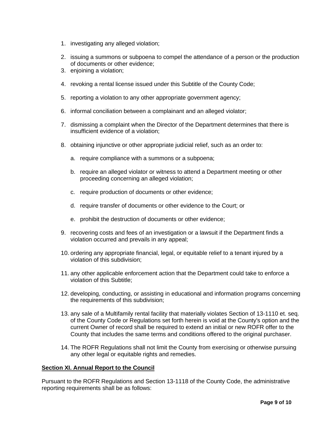- 1. investigating any alleged violation;
- 2. issuing a summons or subpoena to compel the attendance of a person or the production of documents or other evidence;
- 3. enjoining a violation;
- 4. revoking a rental license issued under this Subtitle of the County Code;
- 5. reporting a violation to any other appropriate government agency;
- 6. informal conciliation between a complainant and an alleged violator;
- 7. dismissing a complaint when the Director of the Department determines that there is insufficient evidence of a violation;
- 8. obtaining injunctive or other appropriate judicial relief, such as an order to:
	- a. require compliance with a summons or a subpoena;
	- b. require an alleged violator or witness to attend a Department meeting or other proceeding concerning an alleged violation;
	- c. require production of documents or other evidence;
	- d. require transfer of documents or other evidence to the Court; or
	- e. prohibit the destruction of documents or other evidence;
- 9. recovering costs and fees of an investigation or a lawsuit if the Department finds a violation occurred and prevails in any appeal;
- 10. ordering any appropriate financial, legal, or equitable relief to a tenant injured by a violation of this subdivision;
- 11. any other applicable enforcement action that the Department could take to enforce a violation of this Subtitle;
- 12. developing, conducting, or assisting in educational and information programs concerning the requirements of this subdivision;
- 13. any sale of a Multifamily rental facility that materially violates Section of 13-1110 et. seq. of the County Code or Regulations set forth herein is void at the County's option and the current Owner of record shall be required to extend an initial or new ROFR offer to the County that includes the same terms and conditions offered to the original purchaser.
- 14. The ROFR Regulations shall not limit the County from exercising or otherwise pursuing any other legal or equitable rights and remedies.

# **Section XI. Annual Report to the Council**

Pursuant to the ROFR Regulations and Section 13-1118 of the County Code, the administrative reporting requirements shall be as follows: